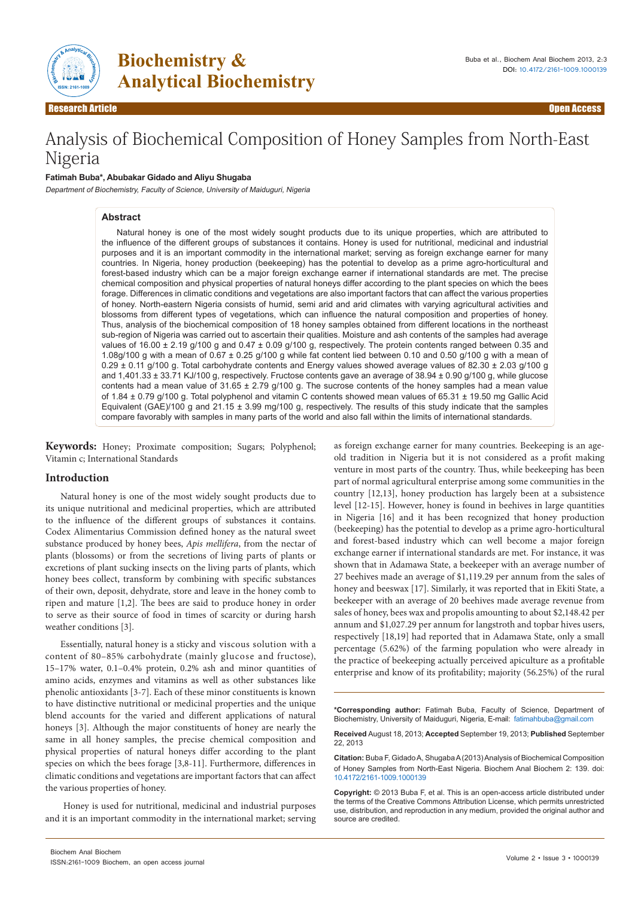

**Biochemistry & Analytical Biochemistry** 

Research Article Open Access

# Analysis of Biochemical Composition of Honey Samples from North-East Nigeria

## **Fatimah Buba\*, Abubakar Gidado and Aliyu Shugaba**

Department of Biochemistry, Faculty of Science, University of Maiduguri, Nigeria

## **Abstract**

Natural honey is one of the most widely sought products due to its unique properties, which are attributed to the influence of the different groups of substances it contains. Honey is used for nutritional, medicinal and industrial purposes and it is an important commodity in the international market; serving as foreign exchange earner for many countries. In Nigeria, honey production (beekeeping) has the potential to develop as a prime agro-horticultural and forest-based industry which can be a major foreign exchange earner if international standards are met. The precise chemical composition and physical properties of natural honeys differ according to the plant species on which the bees forage. Differences in climatic conditions and vegetations are also important factors that can affect the various properties of honey. North-eastern Nigeria consists of humid, semi arid and arid climates with varying agricultural activities and blossoms from different types of vegetations, which can influence the natural composition and properties of honey. Thus, analysis of the biochemical composition of 18 honey samples obtained from different locations in the northeast sub-region of Nigeria was carried out to ascertain their qualities. Moisture and ash contents of the samples had average values of 16.00 ± 2.19 g/100 g and 0.47 ± 0.09 g/100 g, respectively. The protein contents ranged between 0.35 and 1.08g/100 g with a mean of 0.67 ± 0.25 g/100 g while fat content lied between 0.10 and 0.50 g/100 g with a mean of 0.29 ± 0.11 g/100 g. Total carbohydrate contents and Energy values showed average values of 82.30 ± 2.03 g/100 g and 1,401.33 ± 33.71 KJ/100 g, respectively. Fructose contents gave an average of 38.94 ± 0.90 g/100 g, while glucose contents had a mean value of  $31.65 \pm 2.79$  g/100 g. The sucrose contents of the honey samples had a mean value of 1.84 ± 0.79 g/100 g. Total polyphenol and vitamin C contents showed mean values of 65.31 ± 19.50 mg Gallic Acid Equivalent (GAE)/100 g and 21.15 ± 3.99 mg/100 g, respectively. The results of this study indicate that the samples compare favorably with samples in many parts of the world and also fall within the limits of international standards.

**Keywords:** Honey; Proximate composition; Sugars; Polyphenol; Vitamin c; International Standards

## **Introduction**

Natural honey is one of the most widely sought products due to its unique nutritional and medicinal properties, which are attributed to the influence of the different groups of substances it contains. Codex Alimentarius Commission defined honey as the natural sweet substance produced by honey bees, *Apis mellifera*, from the nectar of plants (blossoms) or from the secretions of living parts of plants or excretions of plant sucking insects on the living parts of plants, which honey bees collect, transform by combining with specific substances of their own, deposit, dehydrate, store and leave in the honey comb to ripen and mature [1,2]. The bees are said to produce honey in order to serve as their source of food in times of scarcity or during harsh weather conditions [3].

Essentially, natural honey is a sticky and viscous solution with a content of 80–85% carbohydrate (mainly glucose and fructose), 15–17% water, 0.1–0.4% protein, 0.2% ash and minor quantities of amino acids, enzymes and vitamins as well as other substances like phenolic antioxidants [3-7]. Each of these minor constituents is known to have distinctive nutritional or medicinal properties and the unique blend accounts for the varied and different applications of natural honeys [3]. Although the major constituents of honey are nearly the same in all honey samples, the precise chemical composition and physical properties of natural honeys differ according to the plant species on which the bees forage [3,8-11]. Furthermore, differences in climatic conditions and vegetations are important factors that can affect the various properties of honey.

 Honey is used for nutritional, medicinal and industrial purposes and it is an important commodity in the international market; serving

old tradition in Nigeria but it is not considered as a profit making venture in most parts of the country. Thus, while beekeeping has been part of normal agricultural enterprise among some communities in the country [12,13], honey production has largely been at a subsistence level [12-15]. However, honey is found in beehives in large quantities in Nigeria [16] and it has been recognized that honey production (beekeeping) has the potential to develop as a prime agro-horticultural and forest-based industry which can well become a major foreign exchange earner if international standards are met. For instance, it was shown that in Adamawa State, a beekeeper with an average number of 27 beehives made an average of \$1,119.29 per annum from the sales of honey and beeswax [17]. Similarly, it was reported that in Ekiti State, a beekeeper with an average of 20 beehives made average revenue from sales of honey, bees wax and propolis amounting to about \$2,148.42 per annum and \$1,027.29 per annum for langstroth and topbar hives users, respectively [18,19] had reported that in Adamawa State, only a small percentage (5.62%) of the farming population who were already in the practice of beekeeping actually perceived apiculture as a profitable enterprise and know of its profitability; majority (56.25%) of the rural

as foreign exchange earner for many countries. Beekeeping is an age-

**\*Corresponding author:** Fatimah Buba, Faculty of Science, Department of Biochemistry, University of Maiduguri, Nigeria, E-mail: fatimahbuba@gmail.com

**Received** August 18, 2013; **Accepted** September 19, 2013; **Published** September 22, 2013

**Citation:** Buba F, Gidado A, Shugaba A (2013) Analysis of Biochemical Composition of Honey Samples from North-East Nigeria. Biochem Anal Biochem 2: 139. doi: 10.4172/2161-1009.1000139

**Copyright:** © 2013 Buba F, et al. This is an open-access article distributed under the terms of the Creative Commons Attribution License, which permits unrestricted use, distribution, and reproduction in any medium, provided the original author and source are credited.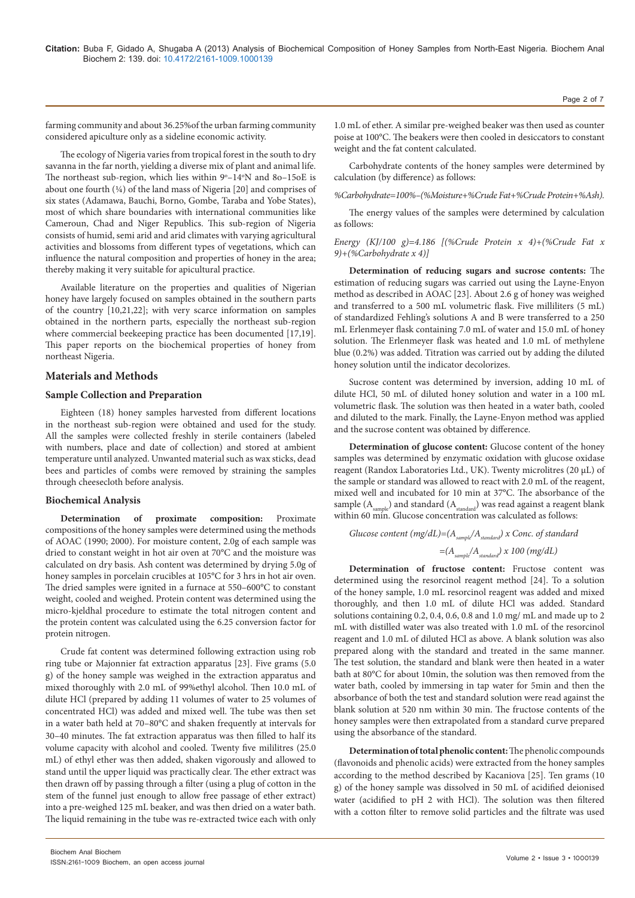farming community and about 36.25%of the urban farming community considered apiculture only as a sideline economic activity.

The ecology of Nigeria varies from tropical forest in the south to dry savanna in the far north, yielding a diverse mix of plant and animal life. The northeast sub-region, which lies within 9°-14°N and 80-15oE is about one fourth  $(\frac{1}{4})$  of the land mass of Nigeria [20] and comprises of six states (Adamawa, Bauchi, Borno, Gombe, Taraba and Yobe States), most of which share boundaries with international communities like Cameroun, Chad and Niger Republics. This sub-region of Nigeria consists of humid, semi arid and arid climates with varying agricultural activities and blossoms from different types of vegetations, which can influence the natural composition and properties of honey in the area; thereby making it very suitable for apicultural practice.

Available literature on the properties and qualities of Nigerian honey have largely focused on samples obtained in the southern parts of the country [10,21,22]; with very scarce information on samples obtained in the northern parts, especially the northeast sub-region where commercial beekeeping practice has been documented [17,19]. This paper reports on the biochemical properties of honey from northeast Nigeria.

# **Materials and Methods**

## **Sample Collection and Preparation**

Eighteen (18) honey samples harvested from different locations in the northeast sub-region were obtained and used for the study. All the samples were collected freshly in sterile containers (labeled with numbers, place and date of collection) and stored at ambient temperature until analyzed. Unwanted material such as wax sticks, dead bees and particles of combs were removed by straining the samples through cheesecloth before analysis.

## **Biochemical Analysis**

**Determination of proximate composition:** Proximate compositions of the honey samples were determined using the methods of AOAC (1990; 2000). For moisture content, 2.0g of each sample was dried to constant weight in hot air oven at 70°C and the moisture was calculated on dry basis. Ash content was determined by drying 5.0g of honey samples in porcelain crucibles at 105°C for 3 hrs in hot air oven. The dried samples were ignited in a furnace at 550–600°C to constant weight, cooled and weighed. Protein content was determined using the micro-kjeldhal procedure to estimate the total nitrogen content and the protein content was calculated using the 6.25 conversion factor for protein nitrogen.

Crude fat content was determined following extraction using rob ring tube or Majonnier fat extraction apparatus [23]. Five grams (5.0 g) of the honey sample was weighed in the extraction apparatus and mixed thoroughly with 2.0 mL of 99%ethyl alcohol. Then 10.0 mL of dilute HCl (prepared by adding 11 volumes of water to 25 volumes of concentrated HCl) was added and mixed well. The tube was then set in a water bath held at 70–80°C and shaken frequently at intervals for 30–40 minutes. The fat extraction apparatus was then filled to half its volume capacity with alcohol and cooled. Twenty five mililitres (25.0 mL) of ethyl ether was then added, shaken vigorously and allowed to stand until the upper liquid was practically clear. The ether extract was then drawn off by passing through a filter (using a plug of cotton in the stem of the funnel just enough to allow free passage of ether extract) into a pre-weighed 125 mL beaker, and was then dried on a water bath. The liquid remaining in the tube was re-extracted twice each with only

1.0 mL of ether. A similar pre-weighed beaker was then used as counter poise at 100°C. The beakers were then cooled in desiccators to constant weight and the fat content calculated.

Carbohydrate contents of the honey samples were determined by calculation (by difference) as follows:

*%Carbohydrate=100%–(%Moisture+%Crude Fat+%Crude Protein+%Ash).*

The energy values of the samples were determined by calculation as follows:

*Energy (KJ/100 g)=4.186 [(%Crude Protein x 4)+(%Crude Fat x 9)+(%Carbohydrate x 4)]*

**Determination of reducing sugars and sucrose contents:** The estimation of reducing sugars was carried out using the Layne-Enyon method as described in AOAC [23]. About 2.6 g of honey was weighed and transferred to a 500 mL volumetric flask. Five milliliters (5 mL) of standardized Fehling's solutions A and B were transferred to a 250 mL Erlenmeyer flask containing 7.0 mL of water and 15.0 mL of honey solution. The Erlenmeyer flask was heated and 1.0 mL of methylene blue (0.2%) was added. Titration was carried out by adding the diluted honey solution until the indicator decolorizes.

Sucrose content was determined by inversion, adding 10 mL of dilute HCl, 50 mL of diluted honey solution and water in a 100 mL volumetric flask. The solution was then heated in a water bath, cooled and diluted to the mark. Finally, the Layne-Enyon method was applied and the sucrose content was obtained by difference.

**Determination of glucose content:** Glucose content of the honey samples was determined by enzymatic oxidation with glucose oxidase reagent (Randox Laboratories Ltd., UK). Twenty microlitres (20 µL) of the sample or standard was allowed to react with 2.0 mL of the reagent, mixed well and incubated for 10 min at 37°C. The absorbance of the sample  $(A_{sample}^{\prime})$  and standard  $(A_{standard}^{\prime})$  was read against a reagent blank within 60 min. Glucose concentration was calculated as follows:

Glucose content 
$$
(mg/dL) = (A_{sample}/A_{standard}) \times Conc
$$
. of standard  

$$
= (A_{sample}/A_{standard}) \times 100 \ (mg/dL)
$$

**Determination of fructose content:** Fructose content was determined using the resorcinol reagent method [24]. To a solution of the honey sample, 1.0 mL resorcinol reagent was added and mixed thoroughly, and then 1.0 mL of dilute HCl was added. Standard solutions containing 0.2, 0.4, 0.6, 0.8 and 1.0 mg/ mL and made up to 2 mL with distilled water was also treated with 1.0 mL of the resorcinol reagent and 1.0 mL of diluted HCl as above. A blank solution was also prepared along with the standard and treated in the same manner. The test solution, the standard and blank were then heated in a water bath at 80°C for about 10min, the solution was then removed from the water bath, cooled by immersing in tap water for 5min and then the absorbance of both the test and standard solution were read against the blank solution at 520 nm within 30 min. The fructose contents of the honey samples were then extrapolated from a standard curve prepared using the absorbance of the standard.

**Determination of total phenolic content:** The phenolic compounds (flavonoids and phenolic acids) were extracted from the honey samples according to the method described by Kacaniova [25]. Ten grams (10 g) of the honey sample was dissolved in 50 mL of acidified deionised water (acidified to pH 2 with HCl). The solution was then filtered with a cotton filter to remove solid particles and the filtrate was used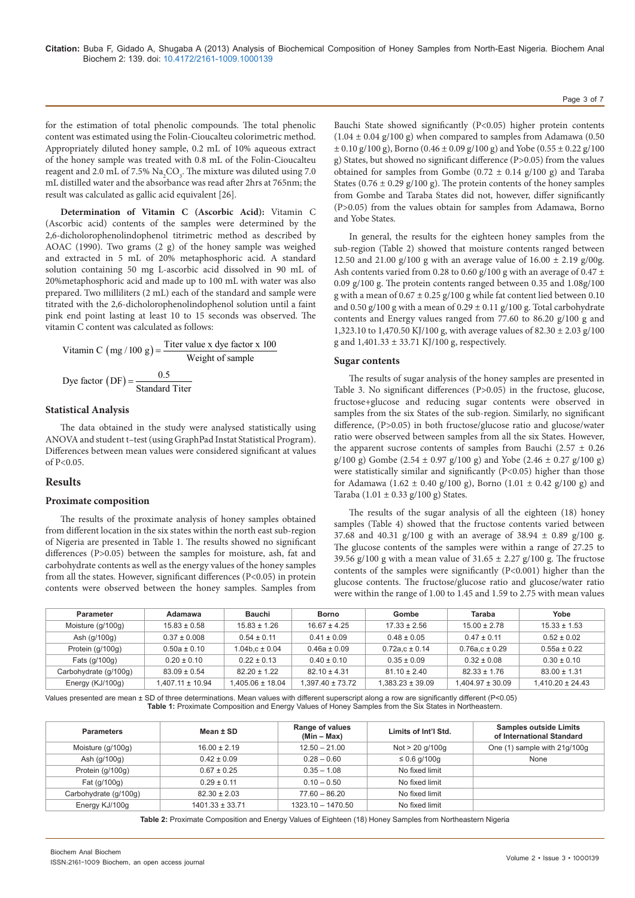for the estimation of total phenolic compounds. The total phenolic content was estimated using the Folin-Cioucalteu colorimetric method. Appropriately diluted honey sample, 0.2 mL of 10% aqueous extract of the honey sample was treated with 0.8 mL of the Folin-Cioucalteu reagent and 2.0 mL of 7.5%  $\rm Na_{2}CO_{3}.$  The mixture was diluted using 7.0 mL distilled water and the absorbance was read after 2hrs at 765nm; the result was calculated as gallic acid equivalent [26].

**Determination of Vitamin C (Ascorbic Acid):** Vitamin C (Ascorbic acid) contents of the samples were determined by the 2,6-dicholorophenolindophenol titrimetric method as described by AOAC (1990). Two grams (2 g) of the honey sample was weighed and extracted in 5 mL of 20% metaphosphoric acid. A standard solution containing 50 mg L-ascorbic acid dissolved in 90 mL of 20%metaphosphoric acid and made up to 100 mL with water was also prepared. Two milliliters (2 mL) each of the standard and sample were titrated with the 2,6-dicholorophenolindophenol solution until a faint pink end point lasting at least 10 to 15 seconds was observed. The vitamin C content was calculated as follows:

Vitamin C (mg / 100 g) = 
$$
\frac{\text{Titer value x dye factor x 100}}{\text{Weight of sample}}
$$
Dye factor (DF) = 
$$
\frac{0.5}{\text{Standard Titer}}
$$

### **Statistical Analysis**

The data obtained in the study were analysed statistically using ANOVA and student t–test (using GraphPad Instat Statistical Program). Differences between mean values were considered significant at values of P<0.05.

#### **Results**

#### **Proximate composition**

The results of the proximate analysis of honey samples obtained from different location in the six states within the north east sub-region of Nigeria are presented in Table 1. The results showed no significant differences (P>0.05) between the samples for moisture, ash, fat and carbohydrate contents as well as the energy values of the honey samples from all the states. However, significant differences (P<0.05) in protein contents were observed between the honey samples. Samples from

Bauchi State showed significantly (P<0.05) higher protein contents  $(1.04 \pm 0.04 \text{ g}/100 \text{ g})$  when compared to samples from Adamawa  $(0.50$  $\pm$  0.10 g/100 g), Borno (0.46  $\pm$  0.09 g/100 g) and Yobe (0.55  $\pm$  0.22 g/100 g) States, but showed no significant difference (P>0.05) from the values obtained for samples from Gombe (0.72  $\pm$  0.14 g/100 g) and Taraba States ( $0.76 \pm 0.29$  g/100 g). The protein contents of the honey samples from Gombe and Taraba States did not, however, differ significantly (P>0.05) from the values obtain for samples from Adamawa, Borno and Yobe States.

In general, the results for the eighteen honey samples from the sub-region (Table 2) showed that moisture contents ranged between 12.50 and 21.00 g/100 g with an average value of  $16.00 \pm 2.19$  g/00g. Ash contents varied from 0.28 to 0.60 g/100 g with an average of 0.47  $\pm$ 0.09 g/100 g. The protein contents ranged between 0.35 and 1.08g/100 g with a mean of  $0.67 \pm 0.25$  g/100 g while fat content lied between 0.10 and 0.50 g/100 g with a mean of  $0.29 \pm 0.11$  g/100 g. Total carbohydrate contents and Energy values ranged from 77.60 to 86.20 g/100 g and 1,323.10 to 1,470.50 KJ/100 g, with average values of 82.30 ± 2.03 g/100 g and 1,401.33 ± 33.71 KJ/100 g, respectively.

#### **Sugar contents**

The results of sugar analysis of the honey samples are presented in Table 3. No significant differences (P>0.05) in the fructose, glucose, fructose+glucose and reducing sugar contents were observed in samples from the six States of the sub-region. Similarly, no significant difference, (P>0.05) in both fructose/glucose ratio and glucose/water ratio were observed between samples from all the six States. However, the apparent sucrose contents of samples from Bauchi ( $2.57 \pm 0.26$ g/100 g) Gombe (2.54  $\pm$  0.97 g/100 g) and Yobe (2.46  $\pm$  0.27 g/100 g) were statistically similar and significantly (P<0.05) higher than those for Adamawa (1.62 ± 0.40 g/100 g), Borno (1.01 ± 0.42 g/100 g) and Taraba  $(1.01 \pm 0.33 \text{ g}/100 \text{ g})$  States.

The results of the sugar analysis of all the eighteen (18) honey samples (Table 4) showed that the fructose contents varied between 37.68 and 40.31 g/100 g with an average of 38.94 ± 0.89 g/100 g. The glucose contents of the samples were within a range of 27.25 to 39.56 g/100 g with a mean value of  $31.65 \pm 2.27$  g/100 g. The fructose contents of the samples were significantly (P<0.001) higher than the glucose contents. The fructose/glucose ratio and glucose/water ratio were within the range of 1.00 to 1.45 and 1.59 to 2.75 with mean values

| <b>Parameter</b>      | Adamawa              | <b>Bauchi</b>      | <b>Borno</b>     | Gombe                | Taraba               | Yobe                 |
|-----------------------|----------------------|--------------------|------------------|----------------------|----------------------|----------------------|
| Moisture (g/100g)     | $15.83 \pm 0.58$     | $15.83 \pm 1.26$   | $16.67 \pm 4.25$ | $17.33 \pm 2.56$     | $15.00 \pm 2.78$     | $15.33 \pm 1.53$     |
| Ash (g/100g)          | $0.37 \pm 0.008$     | $0.54 \pm 0.11$    | $0.41 \pm 0.09$  | $0.48 \pm 0.05$      | $0.47 \pm 0.11$      | $0.52 \pm 0.02$      |
| Protein (g/100g)      | $0.50a \pm 0.10$     | $1.04b.c \pm 0.04$ | $0.46a \pm 0.09$ | $0.72a.c \pm 0.14$   | $0.76a.c \pm 0.29$   | $0.55a \pm 0.22$     |
| Fats (g/100g)         | $0.20 \pm 0.10$      | $0.22 \pm 0.13$    | $0.40 \pm 0.10$  | $0.35 \pm 0.09$      | $0.32 \pm 0.08$      | $0.30 \pm 0.10$      |
| Carbohydrate (g/100g) | $83.09 \pm 0.54$     | $82.20 \pm 1.22$   | $82.10 \pm 4.31$ | $81.10 \pm 2.40$     | $82.33 \pm 1.76$     | $83.00 \pm 1.31$     |
| Energy (KJ/100g)      | $1.407.11 \pm 10.94$ | 1.405.06 ± 18.04   | 1.397.40 ± 73.72 | $1.383.23 \pm 39.09$ | $1.404.97 \pm 30.09$ | $1.410.20 \pm 24.43$ |

Values presented are mean ± SD of three determinations. Mean values with different superscript along a row are significantly different (P<0.05) **Table 1:** Proximate Composition and Energy Values of Honey Samples from the Six States in Northeastern.

| <b>Parameters</b>     | Mean ± SD           | Range of values<br>$(Min - Max)$ | Limits of Int'l Std. | <b>Samples outside Limits</b><br>of International Standard |
|-----------------------|---------------------|----------------------------------|----------------------|------------------------------------------------------------|
| Moisture (g/100g)     | $16.00 \pm 2.19$    | $12.50 - 21.00$                  | Not > 20 g/100g      | One (1) sample with 21g/100g                               |
| Ash (g/100g)          | $0.42 \pm 0.09$     | $0.28 - 0.60$                    | ≤ 0.6 g/100g         | None                                                       |
| Protein (g/100g)      | $0.67 \pm 0.25$     | $0.35 - 1.08$                    | No fixed limit       |                                                            |
| Fat (g/100g)          | $0.29 \pm 0.11$     | $0.10 - 0.50$                    | No fixed limit       |                                                            |
| Carbohydrate (g/100g) | $82.30 \pm 2.03$    | $77.60 - 86.20$                  | No fixed limit       |                                                            |
| Energy KJ/100g        | $1401.33 \pm 33.71$ | $1323.10 - 1470.50$              | No fixed limit       |                                                            |

**Table 2:** Proximate Composition and Energy Values of Eighteen (18) Honey Samples from Northeastern Nigeria

Page 3 of 7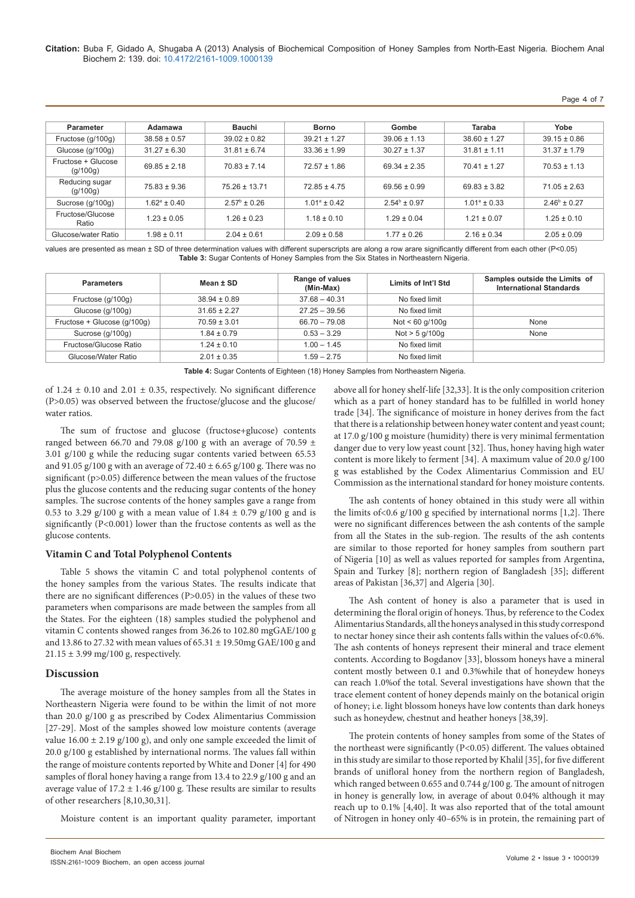**Citation:** Buba F, Gidado A, Shugaba A (2013) Analysis of Biochemical Composition of Honey Samples from North-East Nigeria. Biochem Anal Biochem 2: 139. doi: 10.4172/2161-1009.1000139

Page 4 of 7

| Parameter                      | Adamawa           | Bauchi                  | <b>Borno</b>      | Gombe             | Taraba            | Yobe                    |
|--------------------------------|-------------------|-------------------------|-------------------|-------------------|-------------------|-------------------------|
| Fructose (g/100g)              | $38.58 \pm 0.57$  | $39.02 \pm 0.82$        | $39.21 \pm 1.27$  | $39.06 \pm 1.13$  | $38.60 \pm 1.27$  | $39.15 \pm 0.86$        |
| Glucose (g/100g)               | $31.27 \pm 6.30$  | $31.81 \pm 6.74$        | $33.36 \pm 1.99$  | $30.27 \pm 1.37$  | $31.81 \pm 1.11$  | $31.37 \pm 1.79$        |
| Fructose + Glucose<br>(g/100g) | $69.85 \pm 2.18$  | $70.83 \pm 7.14$        | $72.57 \pm 1.86$  | $69.34 \pm 2.35$  | $70.41 \pm 1.27$  | $70.53 \pm 1.13$        |
| Reducing sugar<br>(g/100g)     | $75.83 \pm 9.36$  | $75.26 \pm 13.71$       | $72.85 \pm 4.75$  | $69.56 \pm 0.99$  | $69.83 \pm 3.82$  | $71.05 \pm 2.63$        |
| Sucrose (g/100g)               | $1.62^a \pm 0.40$ | $2.57^{\circ} \pm 0.26$ | $1.01^a \pm 0.42$ | $2.54^b \pm 0.97$ | $1.01^a \pm 0.33$ | $2.46^{\circ} \pm 0.27$ |
| Fructose/Glucose<br>Ratio      | $1.23 \pm 0.05$   | $1.26 \pm 0.23$         | $1.18 \pm 0.10$   | $1.29 \pm 0.04$   | $1.21 \pm 0.07$   | $1.25 \pm 0.10$         |
| Glucose/water Ratio            | $1.98 \pm 0.11$   | $2.04 \pm 0.61$         | $2.09 \pm 0.58$   | $1.77 \pm 0.26$   | $2.16 \pm 0.34$   | $2.05 \pm 0.09$         |

values are presented as mean ± SD of three determination values with different superscripts are along a row arare significantly different from each other (P<0.05) **Table 3:** Sugar Contents of Honey Samples from the Six States in Northeastern Nigeria.

| <b>Parameters</b>           | Mean ± SD        | Range of values<br>(Min-Max) | Limits of Int'l Std | Samples outside the Limits of<br><b>International Standards</b> |
|-----------------------------|------------------|------------------------------|---------------------|-----------------------------------------------------------------|
| Fructose (g/100g)           | $38.94 \pm 0.89$ | $37.68 - 40.31$              | No fixed limit      |                                                                 |
| Glucose (g/100g)            | $31.65 \pm 2.27$ | $27.25 - 39.56$              | No fixed limit      |                                                                 |
| Fructose + Glucose (g/100g) | $70.59 \pm 3.01$ | $66.70 - 79.08$              | Not < $60$ g/100g   | None                                                            |
| Sucrose (g/100g)            | $1.84 \pm 0.79$  | $0.53 - 3.29$                | Not > 5 g/100g      | None                                                            |
| Fructose/Glucose Ratio      | $1.24 \pm 0.10$  | $1.00 - 1.45$                | No fixed limit      |                                                                 |
| Glucose/Water Ratio         | $2.01 \pm 0.35$  | $1.59 - 2.75$                | No fixed limit      |                                                                 |

**Table 4:** Sugar Contents of Eighteen (18) Honey Samples from Northeastern Nigeria.

of 1.24  $\pm$  0.10 and 2.01  $\pm$  0.35, respectively. No significant difference (P>0.05) was observed between the fructose/glucose and the glucose/ water ratios.

The sum of fructose and glucose (fructose+glucose) contents ranged between 66.70 and 79.08 g/100 g with an average of 70.59  $\pm$ 3.01 g/100 g while the reducing sugar contents varied between 65.53 and 91.05 g/100 g with an average of 72.40  $\pm$  6.65 g/100 g. There was no significant (p>0.05) difference between the mean values of the fructose plus the glucose contents and the reducing sugar contents of the honey samples. The sucrose contents of the honey samples gave a range from 0.53 to 3.29 g/100 g with a mean value of  $1.84 \pm 0.79$  g/100 g and is significantly (P<0.001) lower than the fructose contents as well as the glucose contents.

## **Vitamin C and Total Polyphenol Contents**

Table 5 shows the vitamin C and total polyphenol contents of the honey samples from the various States. The results indicate that there are no significant differences (P>0.05) in the values of these two parameters when comparisons are made between the samples from all the States. For the eighteen (18) samples studied the polyphenol and vitamin C contents showed ranges from 36.26 to 102.80 mgGAE/100 g and 13.86 to 27.32 with mean values of  $65.31 \pm 19.50$  mg GAE/100 g and  $21.15 \pm 3.99$  mg/100 g, respectively.

# **Discussion**

The average moisture of the honey samples from all the States in Northeastern Nigeria were found to be within the limit of not more than 20.0 g/100 g as prescribed by Codex Alimentarius Commission [27-29]. Most of the samples showed low moisture contents (average value  $16.00 \pm 2.19$  g/100 g), and only one sample exceeded the limit of 20.0 g/100 g established by international norms. The values fall within the range of moisture contents reported by White and Doner [4] for 490 samples of floral honey having a range from 13.4 to 22.9 g/100 g and an average value of  $17.2 \pm 1.46$  g/100 g. These results are similar to results of other researchers [8,10,30,31].

Moisture content is an important quality parameter, important

above all for honey shelf-life [32,33]. It is the only composition criterion which as a part of honey standard has to be fulfilled in world honey trade [34]. The significance of moisture in honey derives from the fact that there is a relationship between honey water content and yeast count; at 17.0 g/100 g moisture (humidity) there is very minimal fermentation danger due to very low yeast count [32]. Thus, honey having high water content is more likely to ferment [34]. A maximum value of 20.0 g/100 g was established by the Codex Alimentarius Commission and EU Commission as the international standard for honey moisture contents.

The ash contents of honey obtained in this study were all within the limits of <0.6  $g/100$  g specified by international norms [1,2]. There were no significant differences between the ash contents of the sample from all the States in the sub-region. The results of the ash contents are similar to those reported for honey samples from southern part of Nigeria [10] as well as values reported for samples from Argentina, Spain and Turkey [8]; northern region of Bangladesh [35]; different areas of Pakistan [36,37] and Algeria [30].

The Ash content of honey is also a parameter that is used in determining the floral origin of honeys. Thus, by reference to the Codex Alimentarius Standards, all the honeys analysed in this study correspond to nectar honey since their ash contents falls within the values of<0.6%. The ash contents of honeys represent their mineral and trace element contents. According to Bogdanov [33], blossom honeys have a mineral content mostly between 0.1 and 0.3%while that of honeydew honeys can reach 1.0%of the total. Several investigations have shown that the trace element content of honey depends mainly on the botanical origin of honey; i.e. light blossom honeys have low contents than dark honeys such as honeydew, chestnut and heather honeys [38,39].

The protein contents of honey samples from some of the States of the northeast were significantly (P<0.05) different. The values obtained in this study are similar to those reported by Khalil [35], for five different brands of unifloral honey from the northern region of Bangladesh, which ranged between 0.655 and 0.744 g/100 g. The amount of nitrogen in honey is generally low, in average of about 0.04% although it may reach up to 0.1% [4,40]. It was also reported that of the total amount of Nitrogen in honey only 40–65% is in protein, the remaining part of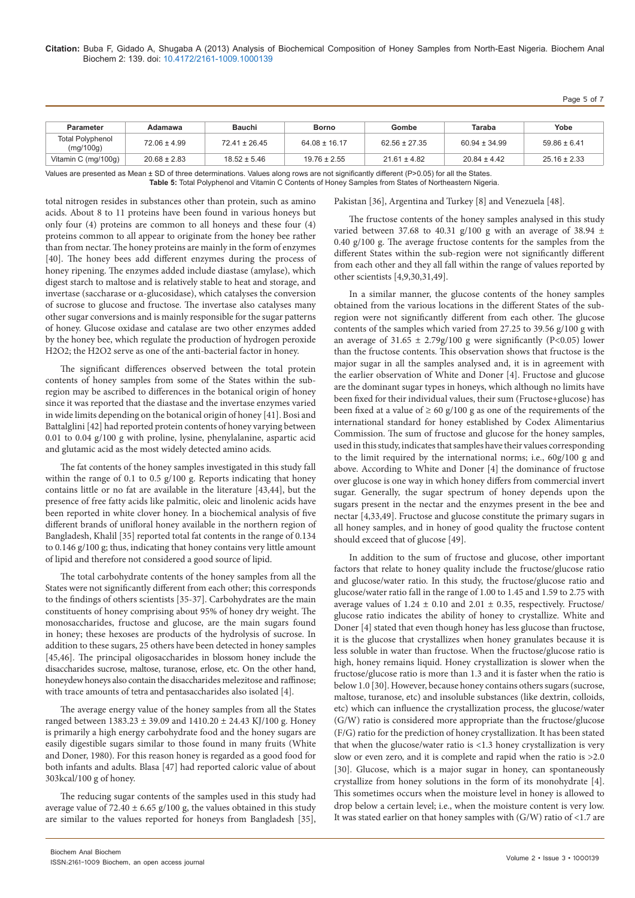**Citation:** Buba F, Gidado A, Shugaba A (2013) Analysis of Biochemical Composition of Honey Samples from North-East Nigeria. Biochem Anal Biochem 2: 139. doi: 10.4172/2161-1009.1000139

Page 5 of 7

| <b>Parameter</b>                     | Adamawa          | <b>Bauchi</b>     | <b>Borno</b>      | Gombe             | Taraba            | Yobe             |
|--------------------------------------|------------------|-------------------|-------------------|-------------------|-------------------|------------------|
| <b>Total Polyphenol</b><br>(mg/100g) | $72.06 \pm 4.99$ | $72.41 \pm 26.45$ | $64.08 \pm 16.17$ | $62.56 \pm 27.35$ | $60.94 \pm 34.99$ | $59.86 \pm 6.41$ |
| Vitamin C (mg/100g)                  | $20.68 \pm 2.83$ | $18.52 \pm 5.46$  | $19.76 \pm 2.55$  | $21.61 \pm 4.82$  | $20.84 \pm 4.42$  | $25.16 \pm 2.33$ |

Values are presented as Mean ± SD of three determinations. Values along rows are not significantly different (P>0.05) for all the States. **Table 5:** Total Polyphenol and Vitamin C Contents of Honey Samples from States of Northeastern Nigeria.

total nitrogen resides in substances other than protein, such as amino acids. About 8 to 11 proteins have been found in various honeys but only four (4) proteins are common to all honeys and these four (4) proteins common to all appear to originate from the honey bee rather than from nectar. The honey proteins are mainly in the form of enzymes [40]. The honey bees add different enzymes during the process of honey ripening. The enzymes added include diastase (amylase), which digest starch to maltose and is relatively stable to heat and storage, and invertase (saccharase or α-glucosidase), which catalyses the conversion of sucrose to glucose and fructose. The invertase also catalyses many other sugar conversions and is mainly responsible for the sugar patterns of honey. Glucose oxidase and catalase are two other enzymes added by the honey bee, which regulate the production of hydrogen peroxide H2O2; the H2O2 serve as one of the anti-bacterial factor in honey.

The significant differences observed between the total protein contents of honey samples from some of the States within the subregion may be ascribed to differences in the botanical origin of honey since it was reported that the diastase and the invertase enzymes varied in wide limits depending on the botanical origin of honey [41]. Bosi and Battalglini [42] had reported protein contents of honey varying between 0.01 to 0.04 g/100 g with proline, lysine, phenylalanine, aspartic acid and glutamic acid as the most widely detected amino acids.

The fat contents of the honey samples investigated in this study fall within the range of 0.1 to 0.5 g/100 g. Reports indicating that honey contains little or no fat are available in the literature [43,44], but the presence of free fatty acids like palmitic, oleic and linolenic acids have been reported in white clover honey. In a biochemical analysis of five different brands of unifloral honey available in the northern region of Bangladesh, Khalil [35] reported total fat contents in the range of 0.134 to 0.146 g/100 g; thus, indicating that honey contains very little amount of lipid and therefore not considered a good source of lipid.

The total carbohydrate contents of the honey samples from all the States were not significantly different from each other; this corresponds to the findings of others scientists [35-37]. Carbohydrates are the main constituents of honey comprising about 95% of honey dry weight. The monosaccharides, fructose and glucose, are the main sugars found in honey; these hexoses are products of the hydrolysis of sucrose. In addition to these sugars, 25 others have been detected in honey samples [45,46]. The principal oligosaccharides in blossom honey include the disaccharides sucrose, maltose, turanose, erlose, etc. On the other hand, honeydew honeys also contain the disaccharides melezitose and raffinose; with trace amounts of tetra and pentasaccharides also isolated [4].

The average energy value of the honey samples from all the States ranged between 1383.23 ± 39.09 and 1410.20 ± 24.43 KJ/100 g. Honey is primarily a high energy carbohydrate food and the honey sugars are easily digestible sugars similar to those found in many fruits (White and Doner, 1980). For this reason honey is regarded as a good food for both infants and adults. Blasa [47] had reported caloric value of about 303kcal/100 g of honey.

The reducing sugar contents of the samples used in this study had average value of 72.40  $\pm$  6.65 g/100 g, the values obtained in this study are similar to the values reported for honeys from Bangladesh [35],

The fructose contents of the honey samples analysed in this study

Pakistan [36], Argentina and Turkey [8] and Venezuela [48].

varied between 37.68 to 40.31 g/100 g with an average of 38.94  $\pm$ 0.40 g/100 g. The average fructose contents for the samples from the different States within the sub-region were not significantly different from each other and they all fall within the range of values reported by other scientists [4,9,30,31,49].

In a similar manner, the glucose contents of the honey samples obtained from the various locations in the different States of the subregion were not significantly different from each other. The glucose contents of the samples which varied from 27.25 to 39.56 g/100 g with an average of  $31.65 \pm 2.79$ g/100 g were significantly (P<0.05) lower than the fructose contents. This observation shows that fructose is the major sugar in all the samples analysed and, it is in agreement with the earlier observation of White and Doner [4]. Fructose and glucose are the dominant sugar types in honeys, which although no limits have been fixed for their individual values, their sum (Fructose+glucose) has been fixed at a value of  $\geq 60$  g/100 g as one of the requirements of the international standard for honey established by Codex Alimentarius Commission. The sum of fructose and glucose for the honey samples, used in this study, indicates that samples have their values corresponding to the limit required by the international norms; i.e., 60g/100 g and above. According to White and Doner [4] the dominance of fructose over glucose is one way in which honey differs from commercial invert sugar. Generally, the sugar spectrum of honey depends upon the sugars present in the nectar and the enzymes present in the bee and nectar [4,33,49]. Fructose and glucose constitute the primary sugars in all honey samples, and in honey of good quality the fructose content should exceed that of glucose [49].

In addition to the sum of fructose and glucose, other important factors that relate to honey quality include the fructose/glucose ratio and glucose/water ratio. In this study, the fructose/glucose ratio and glucose/water ratio fall in the range of 1.00 to 1.45 and 1.59 to 2.75 with average values of  $1.24 \pm 0.10$  and  $2.01 \pm 0.35$ , respectively. Fructose/ glucose ratio indicates the ability of honey to crystallize. White and Doner [4] stated that even though honey has less glucose than fructose, it is the glucose that crystallizes when honey granulates because it is less soluble in water than fructose. When the fructose/glucose ratio is high, honey remains liquid. Honey crystallization is slower when the fructose/glucose ratio is more than 1.3 and it is faster when the ratio is below 1.0 [30]. However, because honey contains others sugars (sucrose, maltose, turanose, etc) and insoluble substances (like dextrin, colloids, etc) which can influence the crystallization process, the glucose/water (G/W) ratio is considered more appropriate than the fructose/glucose (F/G) ratio for the prediction of honey crystallization. It has been stated that when the glucose/water ratio is <1.3 honey crystallization is very slow or even zero, and it is complete and rapid when the ratio is >2.0 [30]. Glucose, which is a major sugar in honey, can spontaneously crystallize from honey solutions in the form of its monohydrate [4]. This sometimes occurs when the moisture level in honey is allowed to drop below a certain level; i.e., when the moisture content is very low. It was stated earlier on that honey samples with  $(G/W)$  ratio of <1.7 are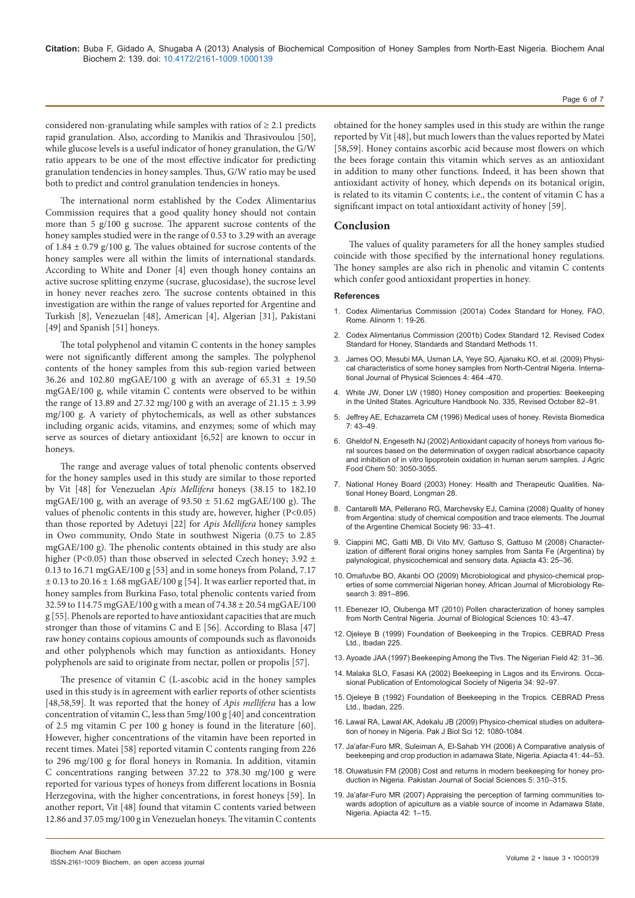considered non-granulating while samples with ratios of  $\geq 2.1$  predicts rapid granulation. Also, according to Manikis and Thrasivoulou [50], while glucose levels is a useful indicator of honey granulation, the G/W ratio appears to be one of the most effective indicator for predicting granulation tendencies in honey samples. Thus, G/W ratio may be used both to predict and control granulation tendencies in honeys.

The international norm established by the Codex Alimentarius Commission requires that a good quality honey should not contain more than 5 g/100 g sucrose. The apparent sucrose contents of the honey samples studied were in the range of 0.53 to 3.29 with an average of  $1.84 \pm 0.79$  g/100 g. The values obtained for sucrose contents of the honey samples were all within the limits of international standards. According to White and Doner [4] even though honey contains an active sucrose splitting enzyme (sucrase, glucosidase), the sucrose level in honey never reaches zero. The sucrose contents obtained in this investigation are within the range of values reported for Argentine and Turkish [8], Venezuelan [48], American [4], Algerian [31], Pakistani [49] and Spanish [51] honeys.

The total polyphenol and vitamin C contents in the honey samples were not significantly different among the samples. The polyphenol contents of the honey samples from this sub-region varied between 36.26 and 102.80 mgGAE/100 g with an average of 65.31 ± 19.50 mgGAE/100 g, while vitamin C contents were observed to be within the range of 13.89 and 27.32 mg/100 g with an average of 21.15  $\pm$  3.99 mg/100 g. A variety of phytochemicals, as well as other substances including organic acids, vitamins, and enzymes; some of which may serve as sources of dietary antioxidant [6,52] are known to occur in honeys.

The range and average values of total phenolic contents observed for the honey samples used in this study are similar to those reported by Vit [48] for Venezuelan *Apis Mellifera* honeys (38.15 to 182.10 mgGAE/100 g, with an average of  $93.50 \pm 51.62$  mgGAE/100 g). The values of phenolic contents in this study are, however, higher (P<0.05) than those reported by Adetuyi [22] for *Apis Mellifera* honey samples in Owo community, Ondo State in southwest Nigeria (0.75 to 2.85 mgGAE/100 g). The phenolic contents obtained in this study are also higher (P<0.05) than those observed in selected Czech honey;  $3.92 \pm$ 0.13 to 16.71 mgGAE/100 g [53] and in some honeys from Poland, 7.17  $\pm$  0.13 to 20.16  $\pm$  1.68 mgGAE/100 g [54]. It was earlier reported that, in honey samples from Burkina Faso, total phenolic contents varied from 32.59 to 114.75 mgGAE/100 g with a mean of 74.38 ± 20.54 mgGAE/100 g [55]. Phenols are reported to have antioxidant capacities that are much stronger than those of vitamins C and E [56]. According to Blasa [47] raw honey contains copious amounts of compounds such as flavonoids and other polyphenols which may function as antioxidants. Honey polyphenols are said to originate from nectar, pollen or propolis [57].

The presence of vitamin C (L-ascobic acid in the honey samples used in this study is in agreement with earlier reports of other scientists [48,58,59]. It was reported that the honey of *Apis mellifera* has a low concentration of vitamin C, less than 5mg/100 g [40] and concentration of 2.5 mg vitamin C per 100 g honey is found in the literature [60]. However, higher concentrations of the vitamin have been reported in recent times. Matei [58] reported vitamin C contents ranging from 226 to 296 mg/100 g for floral honeys in Romania. In addition, vitamin C concentrations ranging between 37.22 to 378.30 mg/100 g were reported for various types of honeys from different locations in Bosnia Herzegovina, with the higher concentrations, in forest honeys [59]. In another report, Vit [48] found that vitamin C contents varied between 12.86 and 37.05 mg/100 g in Venezuelan honeys. The vitamin C contents

obtained for the honey samples used in this study are within the range reported by Vit [48], but much lowers than the values reported by Matei [58,59]. Honey contains ascorbic acid because most flowers on which the bees forage contain this vitamin which serves as an antioxidant in addition to many other functions. Indeed, it has been shown that antioxidant activity of honey, which depends on its botanical origin, is related to its vitamin C contents; i.e., the content of vitamin C has a significant impact on total antioxidant activity of honey [59].

## **Conclusion**

The values of quality parameters for all the honey samples studied coincide with those specified by the international honey regulations. The honey samples are also rich in phenolic and vitamin C contents which confer good antioxidant properties in honey.

#### **References**

- 1. Codex Alimentarius Commission (2001a) Codex Standard for Honey, FAO, Rome. Alinorm 1: 19-26.
- 2. Codex Alimentarius Commission (2001b) Codex Standard 12, Revised Codex Standard for Honey, Standards and Standard Methods 11.
- 3. [James OO, Mesubi MA, Usman LA, Yeye SO, Ajanaku KO, et al. \(2009\) Physi](http://www.covenantuniversity.edu.ng/content/download/18611/120250/file/Physical+characterisation+of+some+honey+samples+from.pdf)[cal characteristics of some honey samples from North-Central Nigeria. Interna](http://www.covenantuniversity.edu.ng/content/download/18611/120250/file/Physical+characterisation+of+some+honey+samples+from.pdf)[tional Journal of Physical Sciences 4: 464 -470.](http://www.covenantuniversity.edu.ng/content/download/18611/120250/file/Physical+characterisation+of+some+honey+samples+from.pdf)
- 4. [White JW, Doner LW \(1980\) Honey composition and properties: Beekeeping](http://www.beesource.com/resources/usda/honey-composition-and-properties/)  [in the United States. Agriculture Handbook No. 335, Revised October 82–91.](http://www.beesource.com/resources/usda/honey-composition-and-properties/)
- 5. [Jeffrey AE, Echazarreta CM \(1996\) Medical uses of honey. Revista Biomedica](http://www.revbiomed.uady.mx/pdf/rb96716.pdf)   $7.43 - 49$
- 6. [Gheldof N, Engeseth NJ \(2002\) Antioxidant capacity of honeys from various flo](http://www.ncbi.nlm.nih.gov/pubmed/11982440)[ral sources based on the determination of oxygen radical absorbance capacity](http://www.ncbi.nlm.nih.gov/pubmed/11982440)  [and inhibition of in vitro lipoprotein oxidation in human serum samples. J Agric](http://www.ncbi.nlm.nih.gov/pubmed/11982440)  [Food Chem 50: 3050-3055.](http://www.ncbi.nlm.nih.gov/pubmed/11982440)
- 7. [National Honey Board \(2003\) Honey: Health and Therapeutic Qualities. Na](http://www.academicjournals.org/ajmr/pdf/pdf2009/Dec/Omafuvbe%20and%20Akanbi.pdf)[tional Honey Board, Longman 28.](http://www.academicjournals.org/ajmr/pdf/pdf2009/Dec/Omafuvbe%20and%20Akanbi.pdf)
- 8. [Cantarelli MA, Pellerano RG, Marchevsky EJ, Camina \(2008\) Quality of honey](http://www.scielo.org.ar/scielo.php?pid=S1852-14282008000100004&script=sci_arttext)  [from Argentina: study of chemical composition and trace elements. The Journal](http://www.scielo.org.ar/scielo.php?pid=S1852-14282008000100004&script=sci_arttext)  [of the Argentine Chemical Society 96: 33–41.](http://www.scielo.org.ar/scielo.php?pid=S1852-14282008000100004&script=sci_arttext)
- 9. [Ciappini MC, Gatti MB, Di Vito MV, Gattuso S, Gattuso M \(2008\) Character](http://www.apimondia.com/apiacta/articles/2008/ciappini_honey_argen.pdf)[ization of different floral origins honey samples from Santa Fe \(Argentina\) by](http://www.apimondia.com/apiacta/articles/2008/ciappini_honey_argen.pdf)  [palynological, physicochemical and sensory data. Apiacta 43: 25–36.](http://www.apimondia.com/apiacta/articles/2008/ciappini_honey_argen.pdf)
- 10. [Omafuvbe BO, Akanbi OO \(2009\) Microbiological and physico-chemical prop](http://www.academicjournals.org/ajmr/pdf/pdf2009/Dec/Omafuvbe%20and%20Akanbi.pdf)[erties of some commercial Nigerian honey. African Journal of Microbiology Re](http://www.academicjournals.org/ajmr/pdf/pdf2009/Dec/Omafuvbe%20and%20Akanbi.pdf)[search 3: 891–896.](http://www.academicjournals.org/ajmr/pdf/pdf2009/Dec/Omafuvbe%20and%20Akanbi.pdf)
- 11. [Ebenezer IO, Olubenga MT \(2010\) Pollen characterization of honey samples](http://scialert.net/fulltext/?doi=jbs.2010.43.47&org=11)  [from North Central Nigeria. Journal of Biological Sciences 10: 43–47.](http://scialert.net/fulltext/?doi=jbs.2010.43.47&org=11)
- 12. [Ojeleye B \(1999\) Foundation of Beekeeping in the Tropics. CEBRAD Press](http://www.ajfand.net/Volume13/No2/Akinwande12175.pdf)  [Ltd., Ibadan 225.](http://www.ajfand.net/Volume13/No2/Akinwande12175.pdf)
- 13. [Ayoade JAA \(1997\) Beekeeping Among the Tivs. The Nigerian Field 42: 31–36.](http://www.bioline.org.br/request?nd09078)
- 14. [Malaka SLO, Fasasi KA \(2002\) Beekeeping in Lagos and its Environs. Occa](http://www.google.co.in/url?sa=t&rct=j&q=&esrc=s&source=web&cd=2&ved=0CDAQFjAB&url=http%3A%2F%2Fwww.ajol.info%2Findex.php%2Fajfand%2Farticle%2Fdownload%2F47679%2F34054&ei=-vY6UqO6HImlrQfs5IGwBw&usg=AFQjCNH5O7nJX_k2K9_1fUUKa44oFq4S6A&bvm=bv.52288139,d.bmk)[sional Publication of Entomological Society of Nigeria 34: 92–97.](http://www.google.co.in/url?sa=t&rct=j&q=&esrc=s&source=web&cd=2&ved=0CDAQFjAB&url=http%3A%2F%2Fwww.ajol.info%2Findex.php%2Fajfand%2Farticle%2Fdownload%2F47679%2F34054&ei=-vY6UqO6HImlrQfs5IGwBw&usg=AFQjCNH5O7nJX_k2K9_1fUUKa44oFq4S6A&bvm=bv.52288139,d.bmk)
- 15. Ojeleye B (1992) Foundation of Beekeeping in the Tropics. CEBRAD Press Ltd., Ibadan, 225
- 16. [Lawal RA, Lawal AK, Adekalu JB \(2009\) Physico-chemical studies on adultera](http://www.ncbi.nlm.nih.gov/pubmed/19943465)[tion of honey in Nigeria. Pak J Biol Sci 12: 1080-1084.](http://www.ncbi.nlm.nih.gov/pubmed/19943465)
- 17. [Ja'afar-Furo MR, Suleiman A, El-Sahab YH \(2006\) A Comparative analysis of](http://www.apimondia.com/apiacta/articles/2006/beekeeping_crops.pdf)  [beekeeping and crop production in adamawa State, Nigeria. Apiacta 41: 44–53.](http://www.apimondia.com/apiacta/articles/2006/beekeeping_crops.pdf)
- 18. [Oluwatusin FM \(2008\) Cost and returns in modern beekeeping for honey pro](http://www.medwellpublishing.com/abstract/?doi=pjssci.2008.310.315)[duction in Nigeria. Pakistan Journal of Social Sciences 5: 310–315.](http://www.medwellpublishing.com/abstract/?doi=pjssci.2008.310.315)
- 19. [Ja'afar-Furo MR \(2007\) Appraising the perception of farming communities to](http://www.apimondia.com/apiacta/articles/2006/afar_furo.pdf)[wards adoption of apiculture as a viable source of income in Adamawa State,](http://www.apimondia.com/apiacta/articles/2006/afar_furo.pdf)  [Nigeria. Apiacta 42: 1–15.](http://www.apimondia.com/apiacta/articles/2006/afar_furo.pdf)